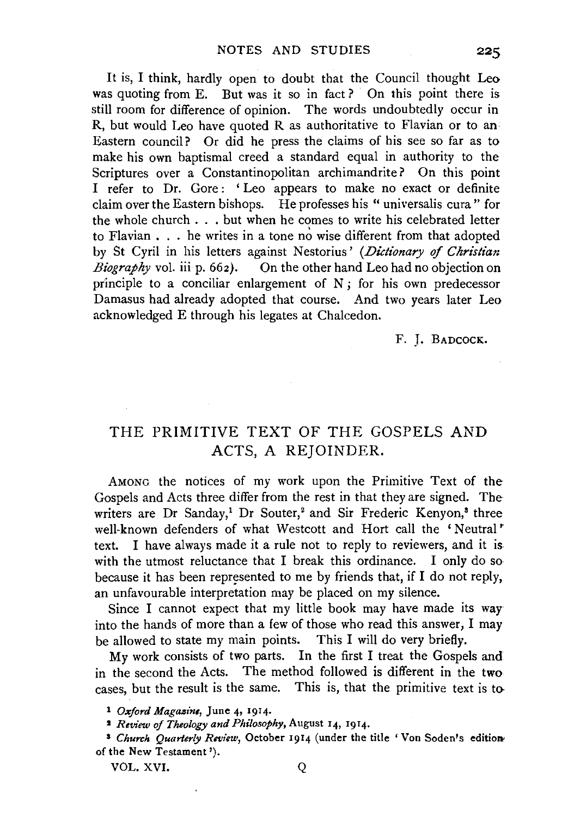It is, I think, hardly open to doubt that the Council thought Leo was quoting from E. But was it so in fact? On this point there is still room for difference of opinion. The words undoubtedly occur in R, but would Leo have quoted R as authoritative to Flavian or to an Eastern council? Or did he press the claims of his see so far as to make his own baptismal creed a standard equal in authority to the Scriptures over a Constantinopolitan archimandrite? On this point I refer to Dr. Gore: 'Leo appears to make no exact or definite claim over the Eastern bishops. He professes his " universalis cura '' for the whole church . . . but when he comes to write his celebrated letter to Flavian  $\ldots$  he writes in a tone no wise different from that adopted by St Cyril in his letters against Nestorius' *(Dictionary* of *Christian Biography* vol. iii p. 662). On the other hand Leo had no objection on principle to a conciliar enlargement of N ; for his own predecessor Damasus had already adopted that course. And two years later Leo acknowledged E through his legates at Chalcedon.

F. J. BADCOCK.

## THE PRIMITIVE TEXT OF THE GOSPELS AND ACTS, A REJOINDER.

AMONG the notices of my work upon the Primitive Text of the Gospels and Acts three differ from the rest in that they are signed. The writers are Dr Sanday,<sup>1</sup> Dr Souter,<sup>2</sup> and Sir Frederic Kenyon,<sup>8</sup> three well-known defenders of what Westcott and Hort call the 'Neutral' text. I have always made it a rule not to reply to reviewers, and it is. with the utmost reluctance that I break this ordinance. I only do so because it has been represented to me by friends that, if  $I$  do not reply, an unfavourable interpretation may be placed on my silence.

Since I cannot expect that my little book may have made its way into the hands of more than a few of those who read this answer, I may be allowed to state my main points. This I will do very briefly.

My work consists of two parts. In the first I treat the Gospels and in the second the Acts. The method followed is different in the two cases, but the result is the same. This is, that the primitive text is to

1 *Oxford Magasine,* June 4, 1914.

<sup>2</sup> Review of Theology and Philosophy, August 14, 1914.

<sup>3</sup> Church Quarterly Review, October 1914 (under the title 'Von Soden's edition; of the New Testament').

VOL. XVI. Q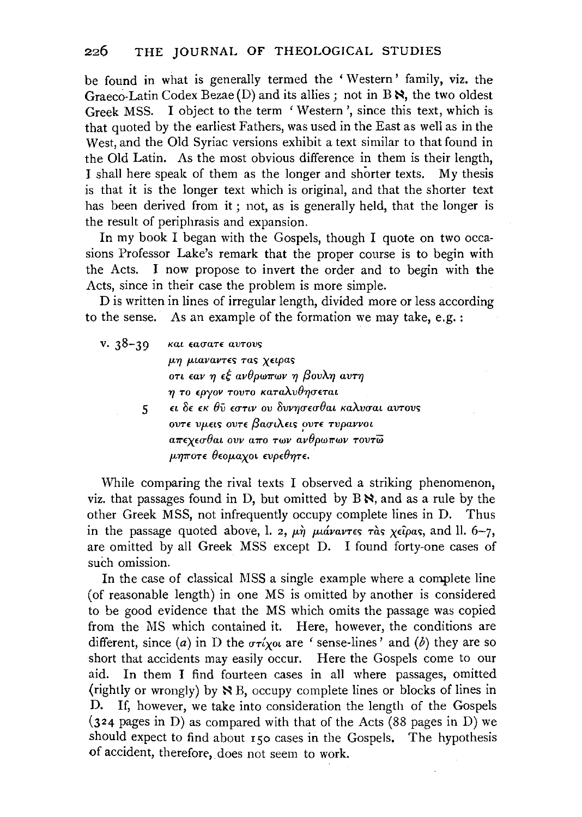be found in what is generally termed the 'Western' family, viz. the Graeco-Latin Codex Bezae (D) and its allies; not in B  $\aleph$ , the two oldest Greek MSS. I object to the term 'Western', since this text, which is that quoted by the earliest Fathers, was used in the East as well as in the West, and the Old Syriac versions exhibit a text similar to that found in the Old Latin. As the most obvious difference in them is their length, I shall here speak of them as the longer and shorter texts. My thesis is that it is the longer text which is original, and that the shorter text has been derived from it ; not, as is generally held, that the longer is the result of periphrasis and expansion\_

In my book I began with the Gospels, though I quote on two occasions Professor Lake's remark that the proper course is to begin with the Acts. I now propose to invert the order and to begin with the Acts, since in their case the problem is more simple.

D is written in lines of irregular length, divided more or less according to the sense. As an example of the formation we may take, e.g.:

| v. 38–39 | και εασατε αυτους                              |
|----------|------------------------------------------------|
|          | μη μιαναντες τας χειρας                        |
|          | οτι εαν η εξ ανθρωπων η βουλη αυτη             |
|          | η το εργον τουτο καταλυθησεται                 |
|          | ει δε εκ θυ εστιν ου δυνησεσθαι καλυσαι αυτους |
|          | ουτε υμεις ουτε βασιλεις ουτε τυραννοι         |
|          | απεχεσθαι ουν απο των ανθρωπων τουτώ           |
|          | μηποτε θεομαχοι ευρεθητε.                      |
|          |                                                |

While comparing the rival texts I observed a striking phenomenon, viz. that passages found in D, but omitted by  $B \aleph$ , and as a rule by the other Greek MSS, not infrequently occupy complete lines in D. Thus in the passage quoted above, l. 2,  $\mu \dot{\eta}$   $\mu \dot{\alpha} \dot{\nu}$   $\alpha \nu \tau \epsilon s$   $\tau \dot{\alpha} s$   $\chi \epsilon \dot{\nu}$  and ll. 6-7, are omitted by all Greek MSS except D. I found forty-one cases of such omission.

In the case of classical MSS a single example where a complete line (of reasonable length) in one MS is omitted by another is considered to be good evidence that the MS which omits the passage was copied from the MS which contained it. Here, however, the conditions are different, since (a) in D the  $\sigma\tau\acute{\iota}$ *xot* are ' sense-lines' and (b) they are so short that accidents may easily occur. Here the Gospels come to our aid. In them I find fourteen cases in all where passages, omitted (rightly or wrongly) by  $\aleph B$ , occupy complete lines or blocks of lines in D. If, however, we take into consideration the length of the Gospels (324 pages in D) as compared with that of the Acts (88 pages in D) we should expect to find about rso cases in the Gospels. The hypothesis of accident, therefore, does not seem to work.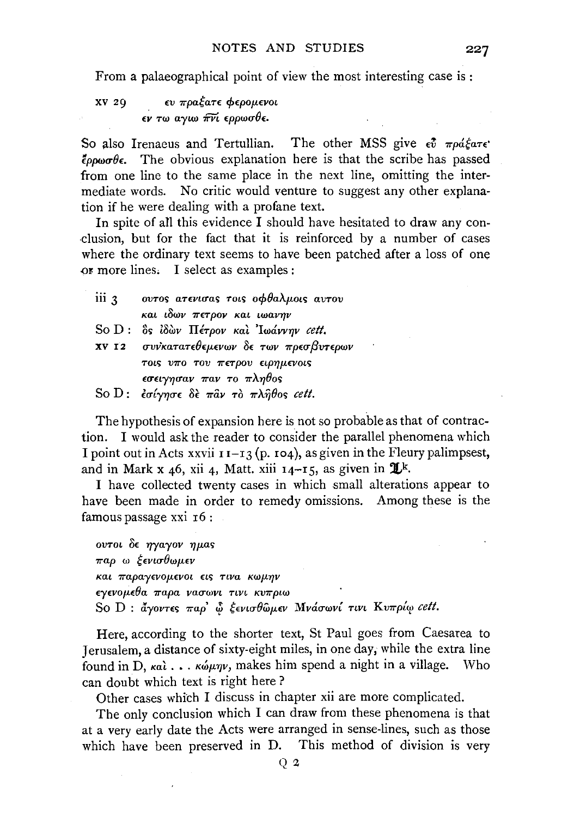From a palaeographical point of view the most interesting case is :

## XV 29  $εν πραξατε φερομενοι$  $\epsilon$ ν τω αγιω πνι ερρωσθε.

So also Irenaeus and Tertullian. The other MSS give  $\epsilon \delta \pi \rho d \xi a \tau \epsilon'$  $\epsilon_{\rho\sigma\omega\sigma}\theta_{\epsilon}$ . The obvious explanation here is that the scribe has passed from one line to the same place in the next line, omitting the intermediate words. No critic would venture to suggest any other explanation if he were dealing with a profane text.

In spite of all this evidence I should have hesitated to draw any conclusion, but for the fact that it is reinforced by a number of cases where the ordinary text seems to have been patched after a loss of one or more lines. I select as examples :

|  | iii 3 ovros ατενισας τοις οφθαλμοις αυτου |
|--|-------------------------------------------|
|  | και ιδων πετρον και ιωανην                |
|  | So D: ὃς ἰδὼν Πέτρον και Ιωάννην cett.    |
|  | xv 12 συνκατατεθεμενων δε των πρεσβυτερων |
|  | τοις υπο του πετρου ειρημενοις            |
|  | εσειγησαν παν το πληθος                   |
|  | So D: εσίγησε δε παν το πλήθος cett.      |

The hypothesis of expansion here is not so probable as that of contraction. I would ask the reader to consider the parallel phenomena which I point out in Acts xxvii  $I_1-I_3$  (p. 104), as given in the Fleury palimpsest, and in Mark x 46, xii 4, Matt. xiii 14-15, as given in  $\mathbb{L}^k$ .

I have collected twenty cases in which small alterations appear to have been made in order to remedy omissions. Among these is the famous passage xxi r6:

 $ov\tau o$ ι δε ηγαγον ημας παρ ω ξενισθωμεν και παραγενομενοι εις τινα κωμην  $\epsilon$  $\gamma$  $\epsilon$ vo $\mu$ εθα παρα νασωνι τινι κυπριω So D : άγοντες παρ'  $\phi$  *ξενισθ*ώμεν Μνάσωνί τινι Κυπρίω cett.

Here, according to the shorter text, St Paul goes from Caesarea to Jerusalem, a distance of sixty-eight miles, in one day, while the extra line found in D,  $\kappa a$   $\lambda$ ...  $\kappa \omega \mu \eta \nu$ , makes him spend a night in a village. Who can doubt which text is right here?

Other cases which I discuss in chapter xii are more complicated.

The only conclusion which I can draw from these phenomena is that at a very early date the Acts were arranged in sense-lines, such as those which have been preserved in D. This method of division is very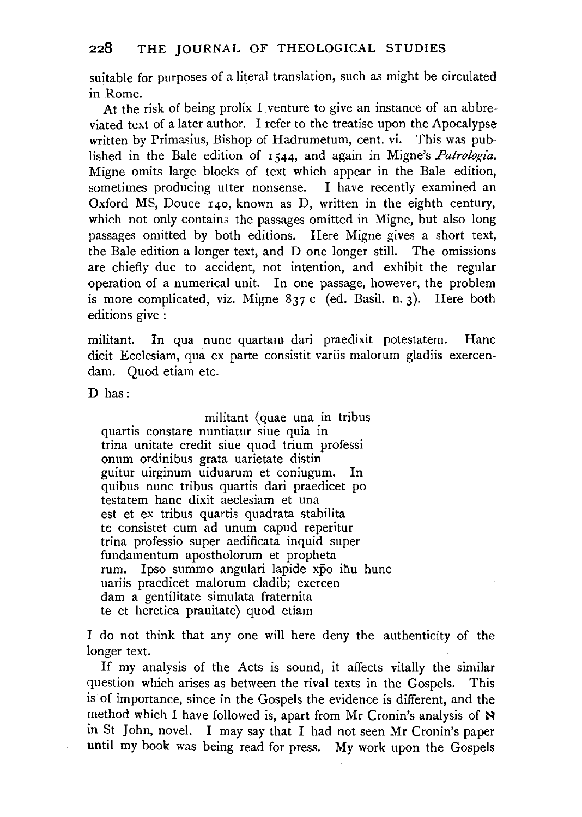## 228 THE JOURNAL OF THEOLOGICAL STUDIES

suitable for purposes of a literal translation, such as might be circulated in Rome.

At the risk of being prolix I venture to give an instance of an abbreviated text of a later author. I refer to the treatise upon the Apocalypse written by Primasius, Bishop of Hadrumetum, cent. vi. This was published in the Bale edition of 1544, and again in Migne's *Patrologia.*  Migne omits large blocks of text which appear in the Bale edition, sometimes producing utter nonsense. I have recently examined an Oxford MS, Douce r4o, known as D, written in the eighth century, which not only contains the passages omitted in Migne, but also long passages omitted by both editions. Here Migne gives a short text, the Bale edition a longer text, and D one longer still. The omissions are chiefly due to accident, not intention, and exhibit the regular operation of a numerical unit. In one passage, however, the problem is more complicated, viz. Migne 837 c (ed. Basil. n. 3). Here both editions give :

militant. In qua nunc quartam dari praedixit potestatem. Hanc dicit Ecclesiam, qua ex parte consistit variis malorum gladiis exercendam. Quod etiam etc.

D has:

militant (quae una in tribus quartis constare nuntiatur siue quia in trina unitate credit siue quod trium professi onum ordinibus grata uarietate distin guitur uirginum uiduarum et coniugum. In quibus nunc tribus quartis dari praedicet po testatem banc dixit aeclesiam et una est et ex tribus quartis quadrata stabilita te consistet cum ad unum capud reperitur trina professio super aedificata inquid super fundamentum apostholorum et propheta rum. Ipso summo angulari lapide xpo ihu hunc uariis praedicet malorum cladib; exercen dam a gentilitate simulata fraternita te et heretica prauitate) quod etiam

I do not think that any one will here deny the authenticity of the longer text.

If my analysis of the Acts is sound, it affects vitally the similar question which arises as between the rival texts in the Gospels. This is of importance, since in the Gospels the evidence is different, and the method which I have followed is, apart from Mr Cronin's analysis of  $\aleph$ in St John, novel. I may say that I had not seen Mr Cronin's paper until my book was being read for press. My work upon the Gospels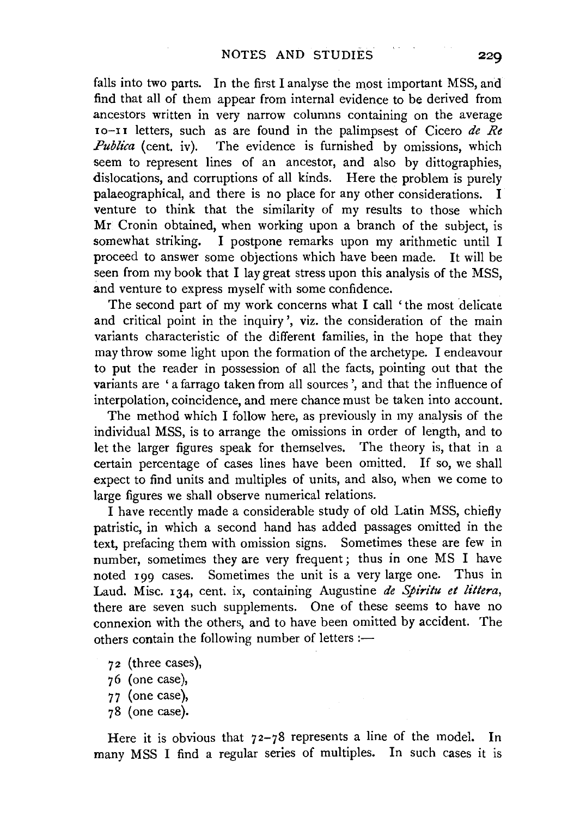falls into two parts. In the first I analyse the most important MSS, and find that all of them appear from internal evidence to be derived from ancestors written in very narrow columns containing on the average Io-II letters, such as are found in the palimpsest of Cicero *de Re Publica* (cent. iv). The evidence is furnished by omissions, which seem to represent lines of an ancestor, and also by dittographies, dislocations, and corruptions of all kinds. Here the problem is purely palaeographical, and there is no place for any other considerations. I venture to think that the similarity of my results to those which Mr Cronin obtained, when working upon a branch of the subject, is somewhat striking. I postpone remarks upon my arithmetic until I proceed to answer some objections which have been made. It will be seen from my book that I lay great stress upon this analysis of the MSS, and venture to express myself with some confidence.

The second part of my work concerns what I call 'the most delicate and critical point in the inquiry', viz. the consideration of the main variants characteristic of the different families, in the hope that they may throw some light upon the formation of the archetype. I endeavour to put the reader in possession of all the facts, pointing out that the variants are ' a farrago taken from all sources ', and that the influence of interpolation, coincidence, and mere chance must be taken into account.

The method which I follow here, as previously in my analysis of the individual MSS, is to arrange the omissions in order of length, and to let the larger figures speak for themselves. The theory is, that in a certain percentage of cases lines have been omitted. If so, we shall expect to find units and multiples of units, and also, when we come to large figures we shall observe numerical relations.

I have recently made a considerable study of old Latin MSS, chiefly patristic, in which a second hand has added passages omitted in the text, prefacing them with omission signs. Sometimes these are few in number, sometimes they are very frequent; thus in one MS I have noted 199 cases. Sometimes the unit is a very large one. Thus in Laud. Mise. 134, cent. ix, containing Augustine *de Spiritu et littera,*  there are seven such supplements. One of these seems to have no connexion with the others, and to have been omitted by accident. The others contain the following number of letters :-

- 72 (three cases),
- 76 (one case),
- 77 (one case),
- 78 (onecase).

Here it is obvious that  $72-78$  represents a line of the model. In many MSS I find a regular series of multiples. In such cases it is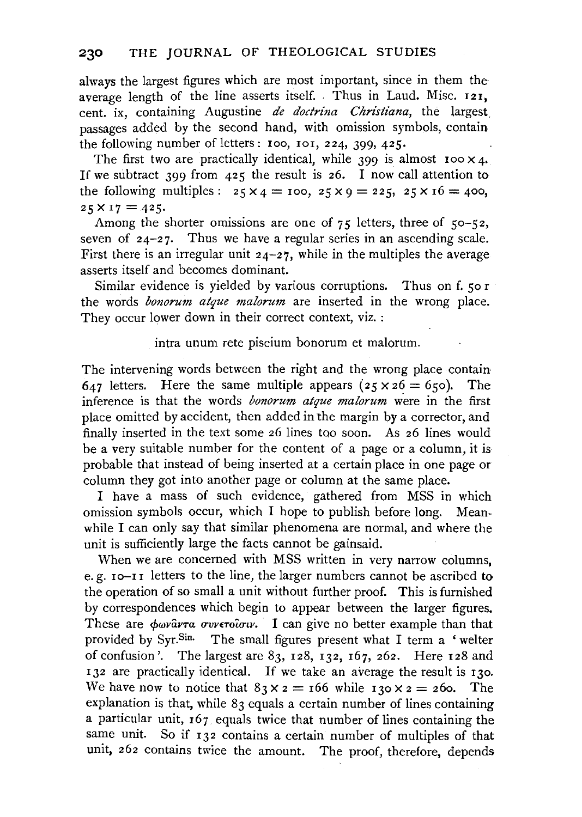always the largest figures which are most important, since in them the average length of the line asserts itself. Thus in Laud. Misc. 121, cent. ix, containing Augustine *de doctrina Christiana,* the largest passages added by the second hand, with omission symbols, contain the following number of letters:  $100$ ,  $101$ ,  $224$ ,  $399$ ,  $425$ .

The first two are practically identical, while 399 is almost  $\cos x_4$ . If we subtract 399 from 425 the result is 26. I now call attention to the following multiples:  $25 \times 4 = 100$ ,  $25 \times 9 = 225$ ,  $25 \times 16 = 400$ ,  $25 \times 17 = 425.$ 

Among the shorter omissions are one of 75 letters, three of 50-52, seven of 24-27. Thus we have a regular series in an ascending scale. First there is an irregular unit  $24-27$ , while in the multiples the average asserts itself and becomes dominant.

Similar evidence is yielded by various corruptions. Thus on f. *so* r the words *bonorum atque malorum* are inserted in the wrong place. They occur lower down in their correct context, viz. :

intra unum rete piscium bonorum et malorum.

The intervening words between the right and the wrong place contain 647 letters. Here the same multiple appears  $(25 \times 26 = 65)$ . The inference is that the words *bonorum atque malorum* were in the first place omitted by accident, then added in the margin by a corrector, and finally inserted in the text some 26 lines too soon. As 26 lines would be a very suitable number for the content of a page or a column, it is probable that instead of being inserted at a certain place in one page or column they got into another page or column at the same place.

I have a mass of such evidence, gathered from MSS in which omission symbols occur, which I hope to publish before long. Meanwhile I can only say that similar phenomena are normal, and where the unit is sufficiently large the facts cannot be gainsaid.

When we are concerned with MSS written in very narrow columns, e.  $g.$  10-11 letters to the line, the larger numbers cannot be ascribed to the operation of so small a unit without further proof. This is furnished by correspondences which begin to appear between the larger figures. These are  $\phi$ <sub>w</sub>vavra *ovveroiou*. I can give no better example than that provided by Syr.Sin. The small figures present what I term a 'welter of confusion'. The largest are  $8_3$ , 128, 132, 167, 262. Here 128 and 132 are practically identical. If we take an average the result is 130. We have now to notice that  $8_3 \times 2 = 166$  while  $130 \times 2 = 260$ . The explanation is that, while 83 equals a certain number of lines containing a particular unit, 167 equals twice that number of lines containing the same unit. So if 132 contains a certain number of multiples of that unit, 262 contains twice the amount. The proof, therefore, depends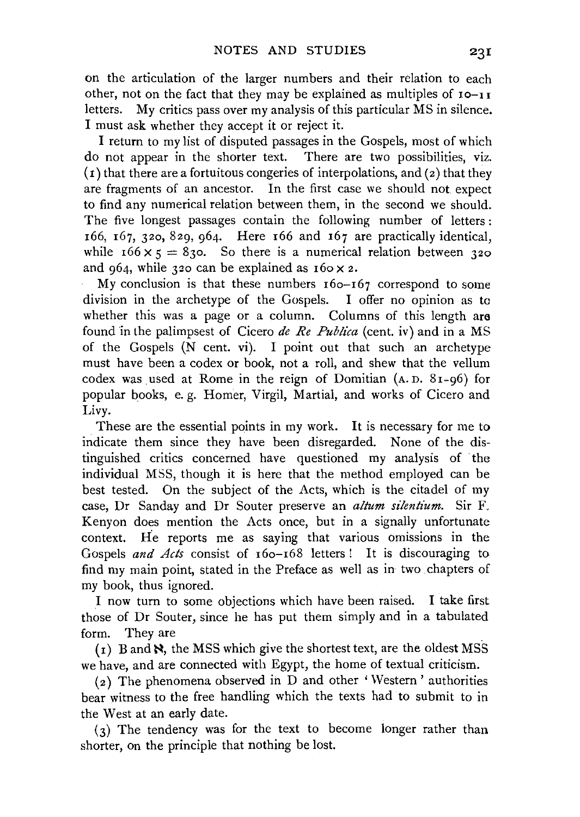on the articulation of the larger numbers and their relation to each other, not on the fact that they may be explained as multiples of  $10 - 11$ letters. My critics pass over my analysis of this particular MS in silence. I must ask whether they accept it or reject it.

I return to my list of disputed passages in the Gospels, most of which do not appear in the shorter text. There are two possibilities, viz.  $(i)$  that there are a fortuitous congeries of interpolations, and  $(i)$  that they are fragments of an ancestor. In the first case we should not expect to find any numerical relation between them, in the second we should. The five longest passages contain the following number of letters :  $166$ ,  $167$ ,  $320$ ,  $829$ ,  $964$ . Here  $166$  and  $167$  are practically identical. while  $166 \times 5 = 830$ . So there is a numerical relation between 320 and 964, while 320 can be explained as  $160 \times 2$ .

My conclusion is that these numbers  $160-167$  correspond to some division in the archetype of the Gospels. I offer no opinion as to whether this was a page or a column. Columns of this length are found in the palimpsest of Cicero *de Re Publica* (cent. iv) and in a MS of the Gospels (N cent. vi). I point out that such an archetype must have been a codex or book, not a roll, and shew that the vellum codex was used at Rome in the reign of Domitian  $(A.D. 8I-96)$  for popular books, e. g. Homer, Virgil, Martial, and works of Cicero and Livy.

These are the essential points in my work. It is necessary for me to indicate them since they have been disregarded. None of the distinguished critics concerned have questioned my analysis of the individual MSS, though it is here that the method employed can be best tested. On the subject of the Acts, which is the citadel of my case, Dr Sanday and Dr Souter preserve an *altum silentium.* Sir F. Kenyon does mention the Acts once, but in a signally unfortunate context. He reports me as saying that various omissions in the Gospels *and Acts* consist of r6o-r68 letters ! It is discouraging to find my main point, stated in the Preface as well as in two chapters of my book, thus ignored.

I now turn to some objections which have been raised. I take first those of Dr Souter, since he has put them simply and in a tabulated form. They are

 $(r)$  B and  $\aleph$ , the MSS which give the shortest text, are the oldest MSS we have, and are connected with Egypt, the home of textual criticism.

(2) The phenomena observed in D and other 'Western' authorities bear witness to the free handling which the texts had to submit to in the West at an early date.

 $(3)$  The tendency was for the text to become longer rather than shorter, on the principle that nothing be lost.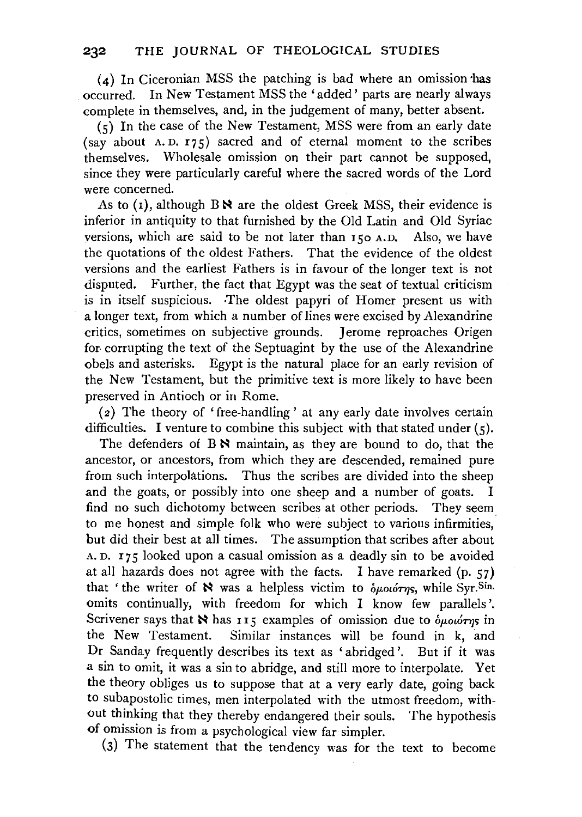(4) In Ciceronian MSS the patching is bad where an omission ·has occurred. In New Testament MSS the 'added' parts are nearly always complete in themselves, and, in the judgement of many, better absent.

 $(5)$  In the case of the New Testament, MSS were from an early date (say about A. D. 175) sacred and of eternal moment to the scribes themselves. Wholesale omission on their part cannot be supposed, since they were particularly careful where the sacred words of the Lord were concerned.

As to  $(i)$ , although BN are the oldest Greek MSS, their evidence is inferior in antiquity to that furnished by the Old Latin and Old Syriac versions, which are said to be not later than 150 A.D. Also, we have the quotations of the oldest Fathers. That the evidence of the oldest versions and the earliest Fathers is in favour of the longer text is not disputed. Further, the fact that Egypt was the seat of textual criticism is in itself suspicious. ·The oldest papyri of Homer present us with a longer text, from which a number of lines were excised by Alexandrine critics, sometimes on subjective grounds. Jerome reproaches Origen for. corrupting the text of the Septuagint by the use of the Alexandrine obels and asterisks. Egypt is the natural place for an early revision of the New Testament, but the primitive text is more likely to have been preserved in Antioch or in Rome.

(2) The theory of 'free-handling' at any early date involves certain difficulties. I venture to combine this subject with that stated under (5).

The defenders of  $B \aleph$  maintain, as they are bound to do, that the ancestor, or ancestors, from which they are descended, remained pure from such interpolations. Thus the scribes are divided into the sheep and the goats, or possibly into one sheep and a number of goats. find no such dichotomy between scribes at other periods. They seem to me honest and simple folk who were subject to various infirmities, but did their best at all times. The assumption that scribes after about A. D. I 7 5 looked upon a casual omission as a deadly sin to be avoided at all hazards does not agree with the facts. I have remarked (p. 57) that 'the writer of **N** was a helpless victim to δμοιότης, while Syr.Sin. omits continually, with freedom for which I know few parallels'. Scrivener says that **N** has 115 examples of omission due to  $\delta_{\mu 01}$  in the New Testament. Similar instances will be found in k, and Dr Sanday frequently describes its text as 'abridged'. But if it was a sin to omit, it was a sin to abridge, and still more to interpolate. Yet the theory obliges us to suppose that at a very early date, going back to subapostolic times, men interpolated with the utmost freedom, without thinking that they thereby endangered their souls. The hypothesis of omission is from a psychological view far simpler.

(3) The statement that the tendency was for the text to become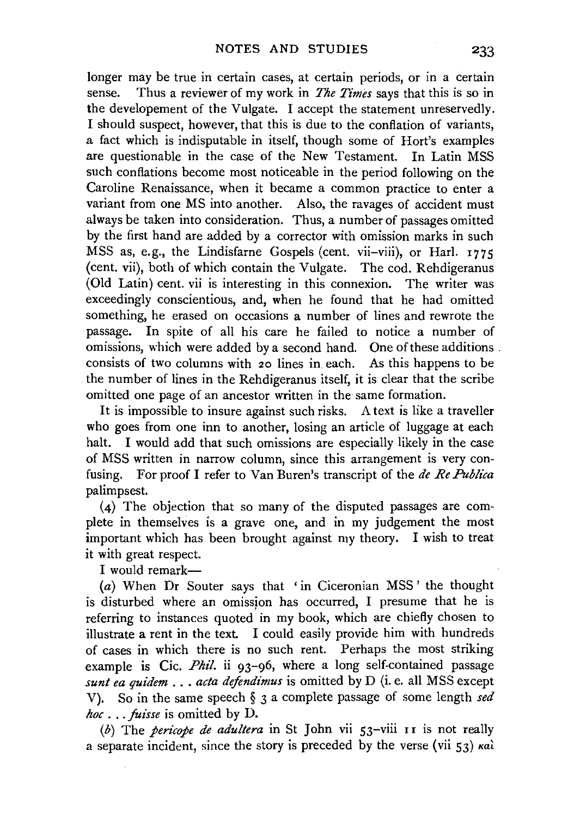longer may be true in certain cases, at certain periods, or in a certain sense. Thus a reviewer of my work in *The Times* says that this is so in the developement of the Vulgate. I accept the statement unreservedly. I should suspect, however, that this is due to the conflation of variants, a fact which is indisputable in itself, though some of Hort's examples are questionable in the case of the New Testament. In Latin MSS such conflations become most noticeable in the period following on the Caroline Renaissance, when it became a common practice to enter a variant from one MS into another. Also, the ravages of accident must always be taken into consideration. Thus, a number of passages omitted by the first hand are added by a corrector with omission marks in such MSS as, e.g., the Lindisfarne Gospels (cent. vii-viii), or Harl. 1775 (cent. vii), both of which contain the Vulgate. The cod. Rehdigeranus (Old Latin) cent. vii is interesting in this connexion. The writer was exceedingly conscientious, and, when he found that he had omitted something, he erased on occasions a number of lines and rewrote the passage. In spite of all his care he failed to notice a number of omissions, which were added by a second hand. One of these additions . consists of two columns with 20 lines in. each. As this happens to be the number of lines in the Rehdigeranus itself, it is clear that the scribe omitted one page of an ancestor written in the same formation.

It is impossible to insure against such risks. A text is like a traveller who goes from one inn to another, losing an article of luggage at each halt. I would add that such omissions are especially likely in the case of MSS written in narrow column, since this arrangement is very confusing. For proof I refer to Van Buren's transcript of the *de Re Publica*  palimpsest.

(4) The objection that so many of the disputed passages are complete in themselves is a grave one, and in my judgement the most important which has been brought against my theory. I wish to treat it with great respect.

I would remark-

(a) When Dr Souter says that 'in Ciceronian MSS' the thought is disturbed where an omission has occurred, I presume that he is referring to instances quoted in my book, which are chiefly chosen to illustrate a rent in the text. I could easily provide him with hundreds of cases in which there is no such rent. Perhaps the most striking example is Cic. *Phil.* ii 93-96, where a long self-contained passage *sunt ea quidem* ... *acta difendimus* is omitted by D (i.e. all MSS except V). So in the same speech § 3 a complete passage of some length *sed hoc* ... *juisse* is omitted by D.

(b) The *pericope de adultera* in St John vii 53-viii 11 is not really a separate incident, since the story is preceded by the verse (vii 53)  $\kappa a$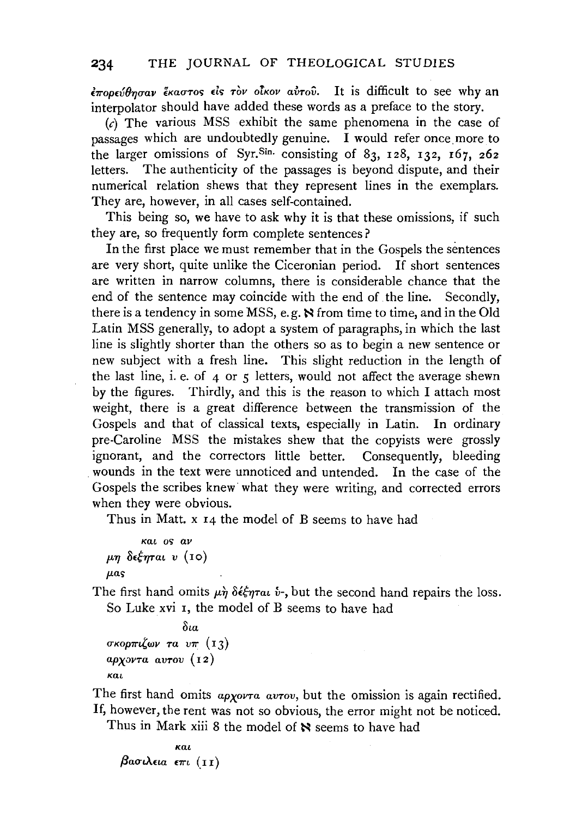$\epsilon\pi$ op $\epsilon\theta\eta$ σαν έκαστος είς τὸν οἶκον αὐτοῦ. It is difficult to see why an interpolator should have added these words as a preface to the story.

 $(c)$  The various MSS exhibit the same phenomena in the case of passages which are undoubtedly genuine. I would refer once.more to the larger omissions of Syr.Sin. consisting of 83, 128, 132, 167, 262 letters. The authenticity of the passages is beyond dispute, and their numerical relation shews that they represent lines in the exemplars. They are, however, in all cases self-contained.

This being so, we have to ask why it is that these omissions, if such they are, so frequently form complete sentences?

In the first place we must remember that in the Gospels the sentences are very short, quite unlike the Ciceronian period. If short sentences are written in narrow columns, there is considerable chance that the end of the sentence may coincide with the end of the line. Secondly, there is a tendency in some MSS, e.g.  $\aleph$  from time to time, and in the Old Latin MSS generally, to adopt a system of paragraphs, in which the last line is slightly shorter than the others so as to begin a new sentence or new subject with a fresh line. This slight reduction in the length of the last line, i. e. of 4 or *5* letters, would not affect the average shewn by the figures. Thirdly, and this is the reason to which I attach most weight, there is a great difference between the transmission of the Gospels and that of classical texts, especially in Latin. In ordinary pre-Caroline MSS the mistakes shew that the copyists were grossly ignorant, and the correctors little better. Consequently, bleeding wounds in the text were unnoticed and untended. In the case of the Gospels the scribes knew· what they were writing, and corrected errors when they were obvious.

Thus in Matt. x 14 the model of B seems to have had

```
Ka~ os av 
\muη δεξηται v (10)
p.as
```
The first hand omits  $\mu \dot{\eta}$   $\delta \dot{\xi} \eta \tau a \dot{\nu}$ , but the second hand repairs the loss. So Luke xvi I, the model of B seems to have had

```
\delta_{l\alpha}σκορπιζων τα υπ (13)a\rho\chiovra avrov (12)
Ka~
```
The first hand omits *apxovra avrov*, but the omission is again rectified. If, however, the rent was not so obvious, the error might not be noticed.

Thus in Mark xiii 8 the model of  $\aleph$  seems to have had

```
Ka~ 
βασιλεια επι (11)
```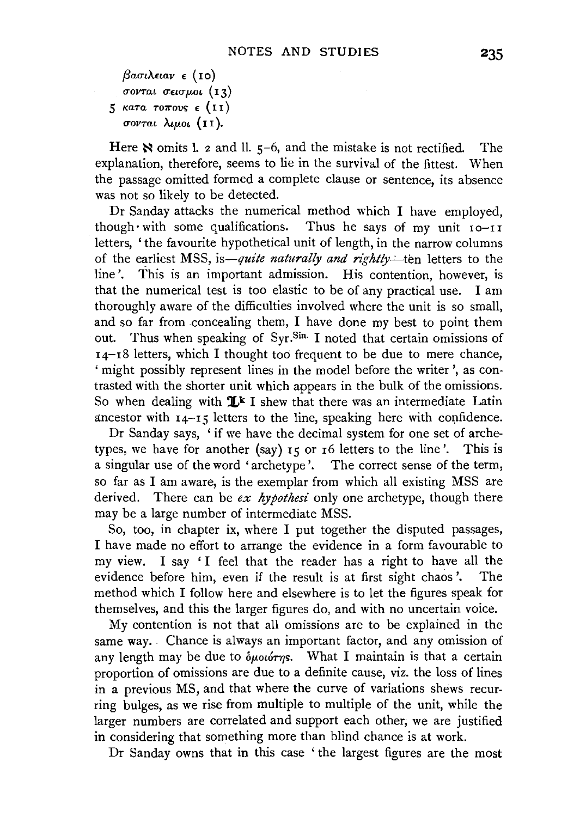*{3 ar:nA.nav* € ( <sup>I</sup>o) *CTOV'TO.t CT€UTp.Ot* (I 3)  $5$  *Kata TOTTOUS*  $\epsilon$  (II) *CTOVTat Atp.ot* (I I).

Here  $\aleph$  omits 1. *z* and 11. 5–6, and the mistake is not rectified. The explanation, therefore, seems to lie in the survival of the fittest. When the passage omitted formed a complete clause or sentence, its absence was not so likely to be detected.

Dr Sanday attacks the numerical method which I have employed, though with some qualifications. Thus he says of my unit  $10-11$ letters, 'the favourite hypothetical unit of length, in the narrow columns of the earliest MSS, *is-quite naturally and nghtly\_:\_fen* letters to the line'. This is an important admission. His contention, however, is that the numerical test is too elastic to be of any practical use. I am thoroughly aware of the difficulties involved where the unit is so small, and so far from concealing them, I have done my best to point them out. Thus when speaking of Syr.Sin. I noted that certain omissions of  $I_4-I8$  letters, which I thought too frequent to be due to mere chance, ' might possibly represent lines in the model before the writer ', as contrasted with the shorter unit which appears in the bulk of the omissions. So when dealing with  $\mathbb{L}^k$  I shew that there was an intermediate Latin ancestor with  $I_4-I_5$  letters to the line, speaking here with confidence.

Dr Sanday says, ' if we have the decimal system for one set of archetypes, we have for another (say)  $r<sub>5</sub>$  or  $r<sub>6</sub>$  letters to the line'. This is a singular use of the word 'archetype'. The correct sense of the term, so far as I am aware, is the exemplar from which all existing MSS are derived. There can be *ex hypothesi* only one archetype, though there may be a large number of intermediate MSS.

So, too, in chapter ix, where I put together the disputed passages, I have made no effort to arrange the evidence in a form favourable to my view. I say 'I feel that the reader has a right to have all the evidence before him, even if the result is at first sight chaos '. The method which I follow here and elsewhere is to let the figures speak for themselves, and this the larger figures do, and with no uncertain voice.

My contention is not that all omissions are to be explained in the same way. . Chance is always an important factor, and any omission of any length may be due to  $\delta \mu o \omega \acute{\sigma}r\eta s$ . What I maintain is that a certain proportion of omissions are due to a definite cause, viz. the loss of lines in a previous MS, and that where the curve of variations shews recurring bulges, as we rise from multiple to multiple of the unit, while the larger numbers are correlated and support each other, we are justified in considering that something more than blind chance is at work.

Dr Sanday owns that in this case ' the largest figures are the most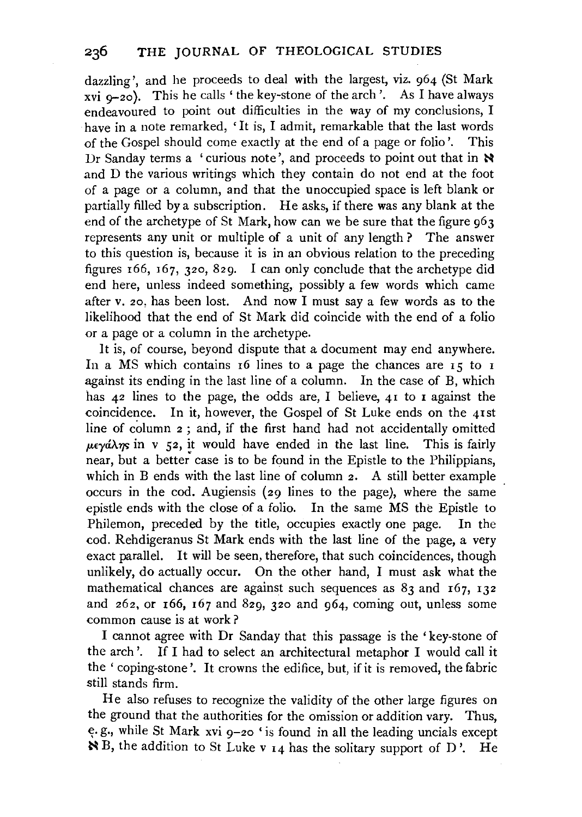dazzling', and he proceeds to deal with the largest, viz. 964 (St Mark  $xyi$   $Q-2Q$ ). This he calls 'the key-stone of the arch'. As I have always endeavoured to point out difficulties in the way of my conclusions, I have in a note remarked, 'It is, I admit, remarkable that the last words of the Gospel should come exactly at the end of a page or folio'. This Dr Sanday terms a 'curious note', and proceeds to point out that in  $\aleph$ and D the various writings which they contain do not end at the foot of a page or a column, and that the unoccupied space is left blank or partially filled by a subscription. He asks, if there was any blank at the end of the archetype of St Mark, how can we be sure that the figure  $963$ represents any unit or multiple of a unit of any length ? The answer to this question is, because it is in an obvious relation to the preceding figures r66, r67, 320, 829. I can only conclude that the archetype did end here, unless indeed something, possibly a few words which came after v. 20, has been lost. And now I must say a few words as to the likelihood that the end of St Mark did coincide with the end of a folio or a page or a column in the archetype.

It is, of course, beyond dispute that a document may end anywhere. In a MS which contains 16 lines to a page the chances are  $15$  to  $1$ against its ending in the last line of a column. In the case of B, which has 42 lines to the page, the odds are, I believe, 41 to I against the coincidence. In it, however, the Gospel of St Luke ends on the 41st line of column 2 ; and, if the first hand had not accidentally omitted  $\mu \epsilon \gamma d\lambda \eta s$  in v 52, it would have ended in the last line. This is fairly near, but a better' case is to be found in the Epistle to the Philippians, which in B ends with the last line of column 2. A still better example occurs in the cod. Augiensis (29 lines to the page), where the same epistle ends with the close of a folio. In the same MS the Epistle to Philemon, preceded by the title, occupies exactly one page. In the cod. Rehdigeranus St Mark ends with the last line of the page, a very exact parallel. It will be seen, therefore, that such coincidences, though unlikely, do actually occur. On the other hand, I must ask what the mathematical chances are against such sequences as 83 and r67, 132 and  $262$ , or  $166$ ,  $167$  and  $829$ ,  $320$  and  $964$ , coming out, unless some common cause is at work ?

I cannot agree with Dr Sanday that this passage is the 'key-stone of the arch'. If I had to select an architectural metaphor I would call it the 'coping-stone'. It crowns the edifice, but, if it is removed, the fabric still stands firm.

He also refuses to recognize the validity of the other large figures on the ground that the authorities for the omission or addition vary. Thus,  $e.g.,$  while St Mark xvi  $9-20$  ' is found in all the leading uncials except  $\aleph B$ , the addition to St Luke v 14 has the solitary support of D'. He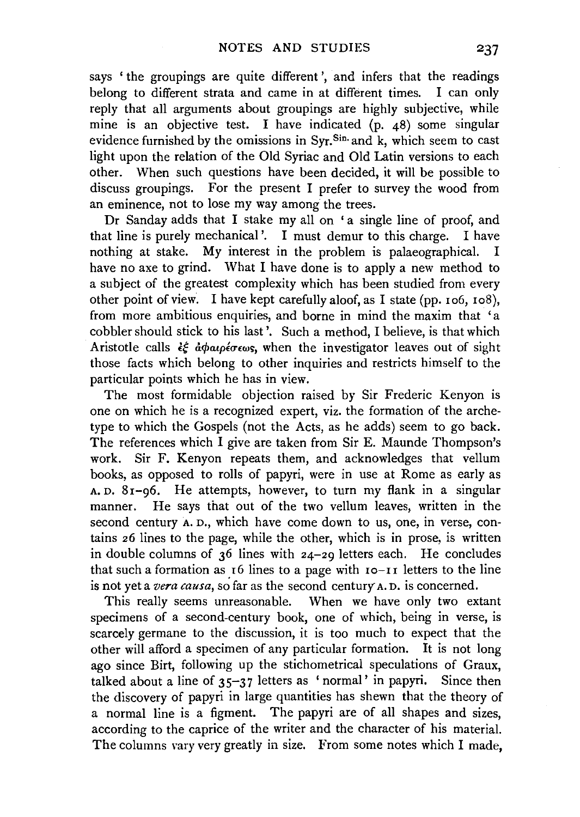says ' the groupings are quite different', and infers that the readings belong to different strata and came in at different times. I can only reply that all arguments about groupings are highly subjective, while mine is an objective test. I have indicated (p. 48) some singular evidence furnished by the omissions in Syr.<sup>Sin.</sup> and k, which seem to cast light upon the relation of the Old Syriac and Old Latin versions to each other. When such questions have been decided, it will be possible to discuss groupings. For the present I prefer to survey the wood from an eminence, not to lose my way among the trees.

Dr Sanday adds that I stake my all on ' a single line of proof, and that line is purely mechanical'. I must demur to this charge. I have nothing at stake. My interest in the problem is palaeographical. I have no axe to grind. What I have done is to apply a new method to a subject of the greatest complexity which has been studied from every other point of view. I have kept carefully aloof, as I state (pp. 1o6, 1o8), from more ambitious enquiries, and borne in mind the maxim that 'a cobbler should stick to his last'. Such a method, I believe, is that which Aristotle calls *ξε αφαιρέσεως*, when the investigator leaves out of sight those facts which belong to other inquiries and restricts himself to the particular points which he has in view.

The most formidable objection raised by Sir Frederic Kenyon is one on which he is a recognized expert, viz. the formation of the archetype to which the Gospels (not the Acts, as he adds) seem to go back. The references which I give are taken from Sir E. Maunde Thompson's work. Sir F. Kenyon repeats them, and acknowledges that vellum books, as opposed to rolls of papyri, were in use at Rome as early as A. D. 81-96. He attempts, however, to turn my flank in a singular manner. He says that out of the two vellum leaves, written in the second century A. D., which have come down to us, one, in verse, contains 26 lines to the page, while the other, which is in prose, is written in double columns of  $36$  lines with  $24-29$  letters each. He concludes that such a formation as  $\tau$ 6 lines to a page with  $\tau$ - $\tau$  letters to the line is not yet a *vera causa,* so far as the second century A. D. is concerned.

This really seems unreasonable. When we have only two extant specimens of a second-century book, one of which, being in verse, is scarcely germane to the discussion, it is too much to expect that the other will afford a specimen of any particular formation. It is not long ago since Birt, following up the stichometrical speculations of Graux, talked about a line of 35-37 letters as 'normal' in papyri. Since then the discovery of papyri in large quantities has shewn that the theory of a normal line is a figment. The papyri are of all shapes and sizes, according to the caprice of the writer and the character of his material. The columns vary very greatly in size. From some notes which I made,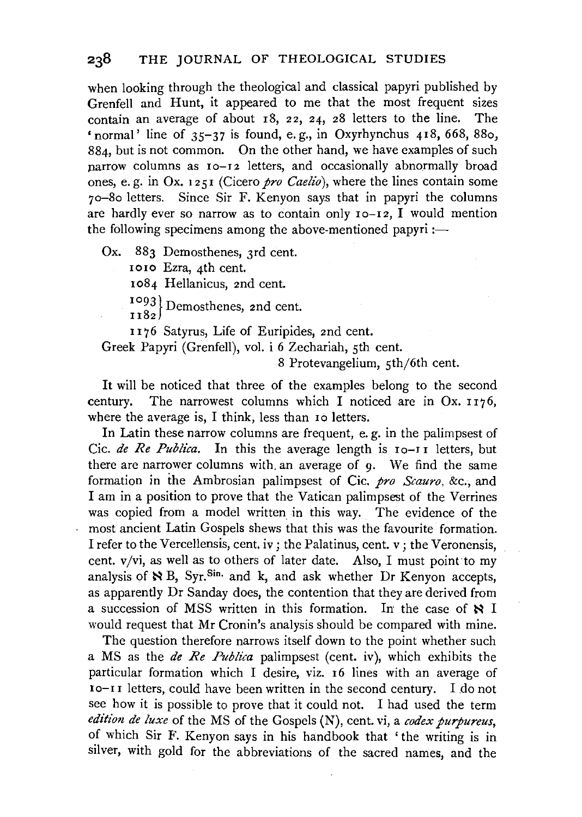when looking through the theological and classical papyri published by Grenfell and Hunt, it appeared to me that the most frequent sizes contain an average of about I8, 22, 24, 28 letters to the line. The 'normal' line of  $35-37$  is found, e.g., in Oxyrhynchus  $418, 668, 880$ , 884, but is not common. On the other hand, we have examples of such parrow columns as 10-rz letters, and occasionally abnormally broad ones, e. g. in Ox. 12 5 I (Cicero *pro Caelio),* where the lines contain some 7o-8o letters. Since Sir F. Kenyon says that in papyri the columns are hardly ever so narrow as to contain only Io-12, I would mention the following specimens among the above-mentioned papyri :-

Ox. 883 Demosthenes, 3rd cent. IOIO Ezra, 4th cent. I084 Hellanicus, 2nd cent. I 0 9 3} Demosthenes, 2nd cent.  $\left[ 182 \right]$ 

I I 76 Satyrus, Life of Euripides, 2nd cent.

Greek Papyri (Grenfell), vol. i 6 Zechariah, 5th cent.

8 Protevangelium, 5th/6th cent.

It will be noticed that three of the examples belong to the second century. The narrowest columns which I noticed are in Ox. II76, where the average is, I think, less than 10 letters.

In Latin these narrow columns are frequent, e. g. in the palimpsest of Cic. *de Re Publica*. In this the average length is  $I_0 - I I$  letters, but there are narrower columns with an average of  $9$ . We find the same formation in the Ambrosian palimpsest of Cic. *pro Scauro,* &c., and I am in a position to prove that the Vatican palimpsest of the Verrines was copied from a model written in this way. The evidence of the most ancient Latin Gospels shews that this was the favourite formation. I refer to the Vercellensis, cent. iv ; the Palatinus, cent.  $v$  ; the Veronensis, cent.  $v/vi$ , as well as to others of later date. Also, I must point to my analysis of  $\aleph$  B, Syr.<sup>Sin.</sup> and k, and ask whether Dr Kenyon accepts, as apparently Dr Sanday does, the contention that they are derived from a succession of MSS written in this formation. In the case of  $\aleph$  I would request that Mr Cronin's analysis should be compared with mine.

The question therefore narrows itself down to the point whether such a MS as the *de Re Publica* palimpsest (cent. iv), which exhibits the particular formation which I desire, viz. I6 lines with an average of  $10$ - $11$  letters, could have been written in the second century. I do not see how it is possible to prove that it could not. I had used the term *edition de luxe* of the MS of the Gospels (N), cent. vi, a *codex purpureus,*  of which Sir F. Kenyon says in his handbook that 'the writing is in silver, with gold for the abbreviations of the sacred names, and the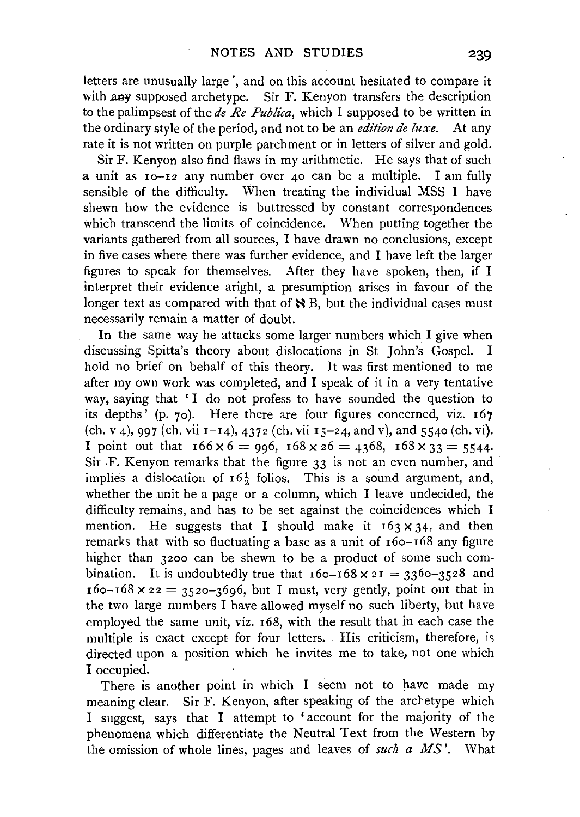letters are unusually large', and on this account hesitated to compare it with any supposed archetype. Sir F. Kenyon transfers the description to the palimpsest of the *de Re Publica,* which I supposed to be written in the ordinary style of the period, and not to be an *edition de luxe.* At any rate it is not written on purple parchment or in letters of silver and gold.

Sir F. Kenyon also find flaws in my arithmetic. He says that of such a unit as  $10^{-12}$  any number over 40 can be a multiple. I am fully sensible of the difficulty. When treating the individual MSS I have shewn how the evidence is buttressed by constant correspondences which transcend the limits of coincidence. When putting together the variants gathered from all sources, I have drawn no conclusions, except in five cases where there was further evidence, and I have left the larger figures to speak for themselves. After they have spoken, then, if I interpret their evidence aright, a presumption arises in favour of the longer text as compared with that of  $\aleph B$ , but the individual cases must necessarily remain a matter of doubt.

In the same way he attacks some larger numbers which I give when discussing Spitta's theory about dislocations in St John's Gospel. I hold no brief on behalf of this theory. It was first mentioned to me after my own work was completed, and I speak of it in a very tentative way, saying that 'I do not profess to have sounded the question to its depths' (p. 7o). Here there are four figures concerned, viz. 167 (ch. v 4), 997 (ch. vii 1-14), 4372 (ch. vii 15-24, and v), and 5540 (ch. vi). I point out that  $166 \times 6 = 996$ ,  $168 \times 26 = 4368$ ,  $168 \times 33 = 5544$ . Sir .F. Kenyon remarks that the figure 33 is not an even number, and implies a dislocation of  $16\frac{1}{2}$  folios. This is a sound argument, and, whether the unit be a page or a column, which I leave undecided, the difficulty remains, and has to be set against the coincidences which I mention. He suggests that I should make it  $163 \times 34$ , and then remarks that with so fluctuating a base as a unit of  $160 - 168$  any figure higher than 3200 can be shewn to be a product of some such combination. It is undoubtedly true that  $160-168 \times 21 = 3360-3528$  and  $160 - 168 \times 22 = 3520 - 3696$ , but I must, very gently, point out that in the two large numbers I have allowed myself no such liberty, but have employed the same unit, viz. 168, with the result that in each case the multiple is exact except for four letters. His criticism, therefore, is directed upon a position which he invites me to take, not one which I occupied.

There is another point in which  $I$  seem not to have made my meaning clear. Sir F. Kenyon, after speaking of the archetype which I suggest, says that I attempt to 'account for the majority of the phenomena which differentiate the Neutral Text from the Western by the omission of whole lines, pages and leaves of *such a MS'.* What